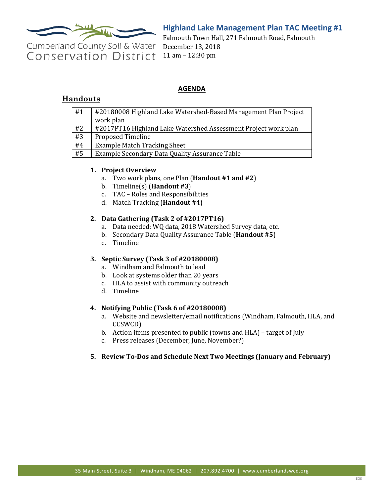

# **Highland Lake Management Plan TAC Meeting #1**

Cumberland County Soil & Water **Conservation District** 

Falmouth Town Hall, 271 Falmouth Road, Falmouth December 13, 2018 11 am – 12:30 pm

## **AGENDA**

## **Handouts**

| #1 | #20180008 Highland Lake Watershed-Based Management Plan Project |
|----|-----------------------------------------------------------------|
|    | work plan                                                       |
| #2 | #2017PT16 Highland Lake Watershed Assessment Project work plan  |
| #3 | <b>Proposed Timeline</b>                                        |
| #4 | <b>Example Match Tracking Sheet</b>                             |
| #5 | Example Secondary Data Quality Assurance Table                  |
|    |                                                                 |

## **1. Project Overview**

- a. Two work plans, one Plan (**Handout #1 and #2**)
- b. Timeline(s) (**Handout #3**)
- c. TAC Roles and Responsibilities
- d. Match Tracking (**Handout #4**)

#### **2. Data Gathering (Task 2 of #2017PT16)**

- a. Data needed: WQ data, 2018 Watershed Survey data, etc.
- b. Secondary Data Quality Assurance Table (**Handout #5**)
- c. Timeline

## **3. Septic Survey (Task 3 of #20180008)**

- a. Windham and Falmouth to lead
- b. Look at systems older than 20 years
- c. HLA to assist with community outreach
- d. Timeline

## **4. Notifying Public (Task 6 of #20180008)**

- a. Website and newsletter/email notifications (Windham, Falmouth, HLA, and CCSWCD)
- b. Action items presented to public (towns and HLA) target of July
- c. Press releases (December, June, November?)

## **5. Review To-Dos and Schedule Next Two Meetings (January and February)**